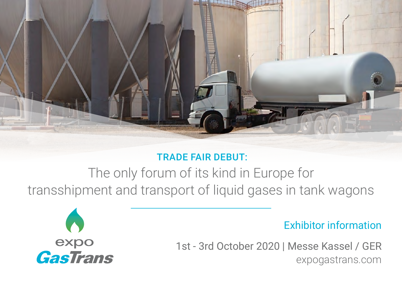

### TRADE FAIR DEBUT:

The only forum of its kind in Europe for transshipment and transport of liquid gases in tank wagons



### Exhibitor information

 1st - 3rd October 2020 | Messe Kassel / GER expogastrans.com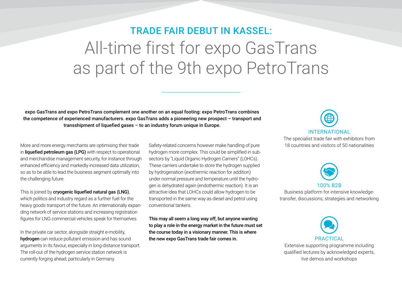### TRADE FAIR DEBUT IN KASSEL: All-time first for expo GasTrans as part of the 9th expo PetroTrans

expo GasTrans and expo PetroTrans complement one another on an equal footing: expo PetroTrans combines the competence of experienced manufacturers. expo GasTrans adds a pioneering new prospect – transport and transshipment of liquefied gases – to an industry forum unique in Europe.

More and more energy merchants are optimising their trade in liquefied petroleum gas (LPG) with respect to operational and merchandise management security, for instance through enhanced efficiency and markedly increased data utilization, so as to be able to lead the business segment optimally into the challenging future.

This is joined by **cryogenic liquefied natural gas (LNG)**, which politics and industry regard as a further fuel for the heavy goods transport of the future. An internationally expanding network of service stations and increasing registration figures for LNG commercial vehicles speak for themselves.

In the private car sector, alongside straight e-mobility, hydrogen can reduce pollutant emission and has sound arguments in its favour, especially in long-distance transport. The roll-out of the hydrogen service station network is currently forging ahead, particularly in Germany.

Safety-related concerns however make handling of pure hydrogen more complex. This could be simplified in subsectors by "Liquid Organic Hydrogen Carriers" (LOHCs). These carriers undertake to store the hydrogen supplied by hydrogenation (exothermic reaction for addition) under normal pressure and temperature until the hydrogen is dehydrated again (endothermic reaction). It is an attractive idea that LOHCs could allow hydrogen to be transported in the same way as diesel and petrol using conventional tankers.

This may all seem a long way off, but anyone wanting to play a role in the energy market in the future must set the course today in a visionary manner. This is where the new expo GasTrans trade fair comes in.

INTERNATIONAL The specialist trade fair with exhibitors from 18 countries and visitors of 50 nationalities

# 100% B2B

Business platform for intensive knowledgetransfer, discussions, strategies and networking

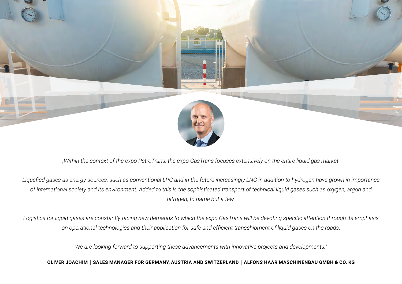

*"Within the context of the expo PetroTrans, the expo GasTrans focuses extensively on the entire liquid gas market.*

*Liquefied gases as energy sources, such as conventional LPG and in the future increasingly LNG in addition to hydrogen have grown in importance of international society and its environment. Added to this is the sophisticated transport of technical liquid gases such as oxygen, argon and nitrogen, to name but a few.*

*Logistics for liquid gases are constantly facing new demands to which the expo GasTrans will be devoting specific attention through its emphasis on operational technologies and their application for safe and efficient transshipment of liquid gases on the roads.*

*We are looking forward to supporting these advancements with innovative projects and developments."*

**OLIVER JOACHIM** | **SALES MANAGER FOR GERMANY, AUSTRIA AND SWITZERLAND** | **ALFONS HAAR MASCHINENBAU GMBH & CO. KG**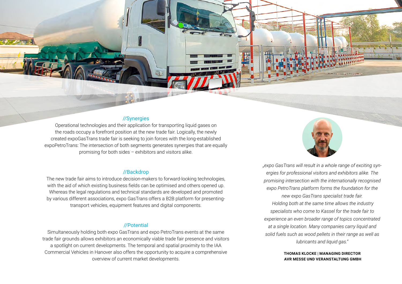#### //Synergies

Operational technologies and their application for transporting liquid gases on the roads occupy a forefront position at the new trade fair. Logically, the newly created expoGasTrans trade fair is seeking to join forces with the long-established expoPetroTrans: The intersection of both segments generates synergies that are equally promising for both sides – exhibitors and visitors alike.

#### //Backdrop

The new trade fair aims to introduce decision-makers to forward-looking technologies, with the aid of which existing business fields can be optimised and others opened up. Whereas the legal regulations and technical standards are developed and promoted by various different associations, expo GasTrans offers a B2B platform for presentingtransport vehicles, equipment features and digital components.

#### //Potential

Simultaneously holding both expo GasTrans and expo PetroTrans events at the same trade fair grounds allows exhibitors an economically viable trade fair presence and visitors a spotlight on current developments. The temporal and spatial proximity to the IAA Commercial Vehicles in Hanover also offers the opportunity to acquire a comprehensive overview of current market developments.



*"expo GasTrans will result in a whole range of exciting synergies for professional visitors and exhibitors alike. The promising intersection with the internationally recognised expo PetroTrans platform forms the foundation for the new expo GasTrans specialist trade fair. Holding both at the same time allows the industry specialists who come to Kassel for the trade fair to experience an even broader range of topics concentrated at a single location. Many companies carry liquid and solid fuels such as wood pellets in their range as well as lubricants and liquid gas."* 

> **THOMAS KLOCKE | MANAGING DIRECTOR AVR MESSE UND VERANSTALTUNG GMBH**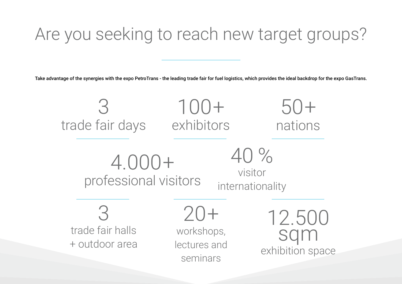## Are you seeking to reach new target groups?

Take advantage of the synergies with the expo PetroTrans - the leading trade fair for fuel logistics, which provides the ideal backdrop for the expo GasTrans.

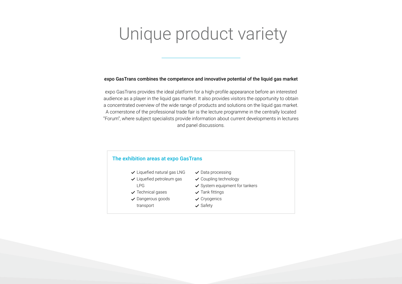### Unique product variety

#### expo GasTrans combines the competence and innovative potential of the liquid gas market

expo GasTrans provides the ideal platform for a high-profile appearance before an interested audience as a player in the liquid gas market. It also provides visitors the opportunity to obtain a concentrated overview of the wide range of products and solutions on the liquid gas market. A cornerstone of the professional trade fair is the lecture programme in the centrally located "Forum", where subject specialists provide information about current developments in lectures and panel discussions.

#### The exhibition areas at expo GasTrans

- $\checkmark$  Liquefied natural gas LNG
- Liquefied petroleum gas LPG
- $\checkmark$  Technical gases
- **✓** Dangerous goods
- transport
- $\checkmark$  Data processing
- $\checkmark$  Coupling technology
- $\checkmark$  System equipment for tankers
- $\checkmark$  Tank fittings
- **✓** Cryogenics
- $\checkmark$  Safety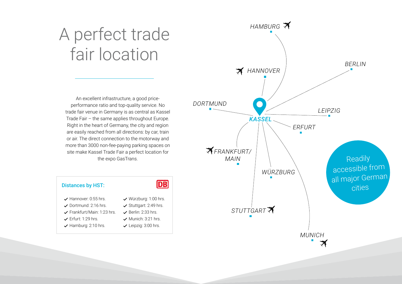## A perfect trade fair location

An excellent infrastructure, a good priceperformance ratio and top-quality service. No trade fair venue in Germany is as central as Kassel Trade Fair – the same applies throughout Europe. Right in the heart of Germany, the city and region are easily reached from all directions: by car, train or air. The direct connection to the motorway and more than 3000 non-fee-paying parking spaces on site make Kassel Trade Fair a perfect location for the expo GasTrans.



- 
- Frankfurt/Main: 1:23 hrs.
- $\checkmark$  Erfurt: 1:29 hrs.
- $\vee$  Hamburg: 2:10 hrs.
- **DB**
- Würzburg: 1:00 hrs.
- $\checkmark$  Stuttgart: 2:49 hrs.
- $\checkmark$  Berlin: 2:33 hrs.
- $\checkmark$  Munich: 3:21 hrs.
- $\checkmark$  Leipzig: 3:00 hrs.

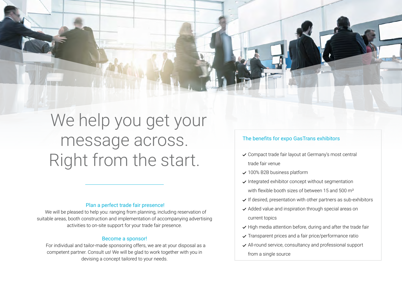## We help you get your message across. Right from the start.

#### Plan a perfect trade fair presence!

 We will be pleased to help you: ranging from planning, including reservation of suitable areas, booth construction and implementation of accompanying advertising activities to on-site support for your trade fair presence.

#### Become a sponsor!

 For individual and tailor-made sponsoring offers, we are at your disposal as a competent partner. Consult us! We will be glad to work together with you in devising a concept tailored to your needs.

#### The benefits for expo GasTrans exhibitors

- Compact trade fair layout at Germany's most central trade fair venue
- $\checkmark$  100% B2B business platform
- $\vee$  Integrated exhibitor concept without segmentation with flexible booth sizes of between 15 and 500 m²
- $\vee$  If desired, presentation with other partners as sub-exhibitors
- $\vee$  Added value and inspiration through special areas on current topics
- $\vee$  High media attention before, during and after the trade fair
- $\checkmark$  Transparent prices and a fair price/performance ratio
- All-round service, consultancy and professional support
	- from a single source